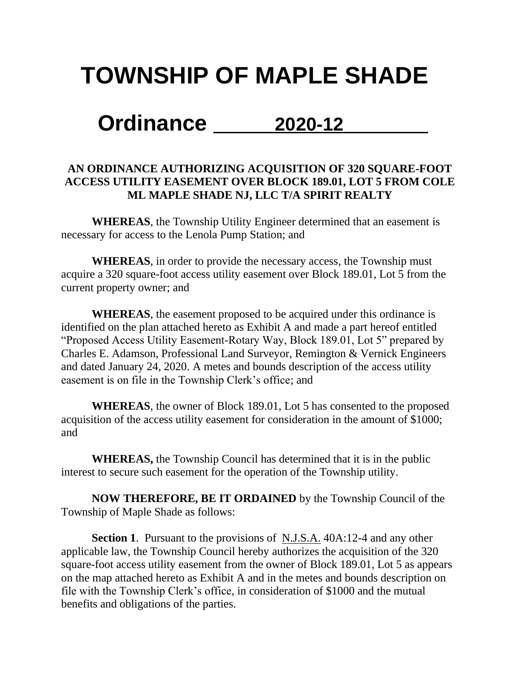## **TOWNSHIP OF MAPLE SHADE**

## **Ordinance 2020-12**

## **AN ORDINANCE AUTHORIZING ACQUISITION OF 320 SQUARE-FOOT ACCESS UTILITY EASEMENT OVER BLOCK 189.01, LOT 5 FROM COLE ML MAPLE SHADE NJ, LLC T/A SPIRIT REALTY**

**WHEREAS**, the Township Utility Engineer determined that an easement is necessary for access to the Lenola Pump Station; and

**WHEREAS**, in order to provide the necessary access, the Township must acquire a 320 square-foot access utility easement over Block 189.01, Lot 5 from the current property owner; and

**WHEREAS**, the easement proposed to be acquired under this ordinance is identified on the plan attached hereto as Exhibit A and made a part hereof entitled "Proposed Access Utility Easement-Rotary Way, Block 189.01, Lot 5" prepared by Charles E. Adamson, Professional Land Surveyor, Remington & Vernick Engineers and dated January 24, 2020. A metes and bounds description of the access utility easement is on file in the Township Clerk's office; and

**WHEREAS**, the owner of Block 189.01, Lot 5 has consented to the proposed acquisition of the access utility easement for consideration in the amount of \$1000; and

**WHEREAS,** the Township Council has determined that it is in the public interest to secure such easement for the operation of the Township utility.

**NOW THEREFORE, BE IT ORDAINED** by the Township Council of the Township of Maple Shade as follows:

**Section 1**. Pursuant to the provisions of N.J.S.A. 40A:12-4 and any other applicable law, the Township Council hereby authorizes the acquisition of the 320 square-foot access utility easement from the owner of Block 189.01, Lot 5 as appears on the map attached hereto as Exhibit A and in the metes and bounds description on file with the Township Clerk's office, in consideration of \$1000 and the mutual benefits and obligations of the parties.